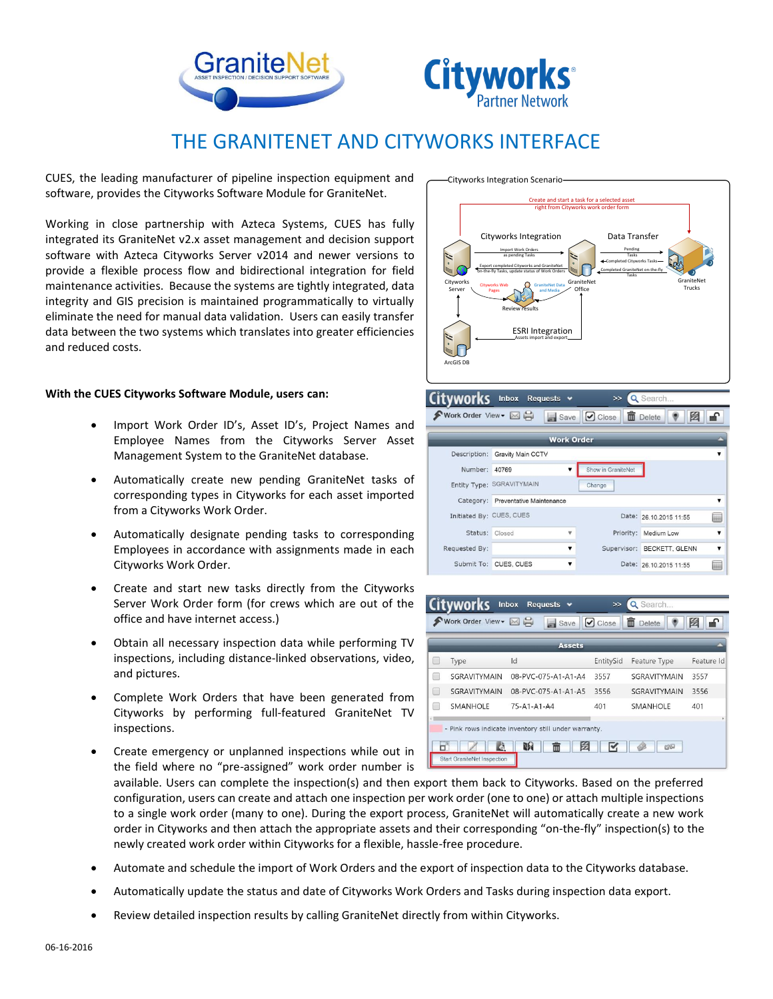



## THE GRANITENET AND CITYWORKS INTERFACE

CUES, the leading manufacturer of pipeline inspection equipment and software, provides the Cityworks Software Module for GraniteNet.

Working in close partnership with Azteca Systems, CUES has fully integrated its GraniteNet v2.x asset management and decision support software with Azteca Cityworks Server v2014 and newer versions to provide a flexible process flow and bidirectional integration for field maintenance activities. Because the systems are tightly integrated, data integrity and GIS precision is maintained programmatically to virtually eliminate the need for manual data validation. Users can easily transfer data between the two systems which translates into greater efficiencies and reduced costs.

## **With the CUES Cityworks Software Module, users can:**

- Import Work Order ID's, Asset ID's, Project Names and Employee Names from the Cityworks Server Asset Management System to the GraniteNet database.
- Automatically create new pending GraniteNet tasks of corresponding types in Cityworks for each asset imported from a Cityworks Work Order.
- Automatically designate pending tasks to corresponding Employees in accordance with assignments made in each Cityworks Work Order.
- Create and start new tasks directly from the Cityworks Server Work Order form (for crews which are out of the office and have internet access.)
- Obtain all necessary inspection data while performing TV inspections, including distance-linked observations, video, and pictures.
- Complete Work Orders that have been generated from Cityworks by performing full-featured GraniteNet TV inspections.
- Create emergency or unplanned inspections while out in the field where no "pre-assigned" work order number is

available. Users can complete the inspection(s) and then export them back to Cityworks. Based on the preferred configuration, users can create and attach one inspection per work order (one to one) or attach multiple inspections to a single work order (many to one). During the export process, GraniteNet will automatically create a new work order in Cityworks and then attach the appropriate assets and their corresponding "on-the-fly" inspection(s) to the newly created work order within Cityworks for a flexible, hassle-free procedure.

- Automate and schedule the import of Work Orders and the export of inspection data to the Cityworks database.
- Automatically update the status and date of Cityworks Work Orders and Tasks during inspection data export.
- Review detailed inspection results by calling GraniteNet directly from within Cityworks.





|                          |                                    |   | <b>Work Order</b>  |                            |                         |
|--------------------------|------------------------------------|---|--------------------|----------------------------|-------------------------|
| Description:             | <b>Gravity Main CCTV</b>           |   |                    |                            | $\mathbf{v}$            |
| Number:                  | 40769                              |   | Show in GraniteNet |                            |                         |
|                          | Entity Type: SGRAVITYMAIN          |   | Change             |                            |                         |
|                          | Category: Preventative Maintenance |   |                    |                            | $\overline{\mathbf{v}}$ |
| Initiated By: CUES, CUES |                                    |   |                    | Date: 26.10.2015 11:55     | 曲                       |
| Status: Closed           |                                    | Δ | Priority:          | Medium Low                 | $\overline{\mathbf{v}}$ |
| Requested By:            |                                    | ▼ |                    | Supervisor: BECKETT, GLENN | $\overline{\mathbf{v}}$ |
|                          | Submit To: CUES, CUES              | ▼ |                    | Date: 26.10.2015 11:55     |                         |

◆ Work Order View → ⊠ မ | Save | ⊙ Close | 面 Delete | ● | 图 | ■

 $\rightarrow$  Q Search